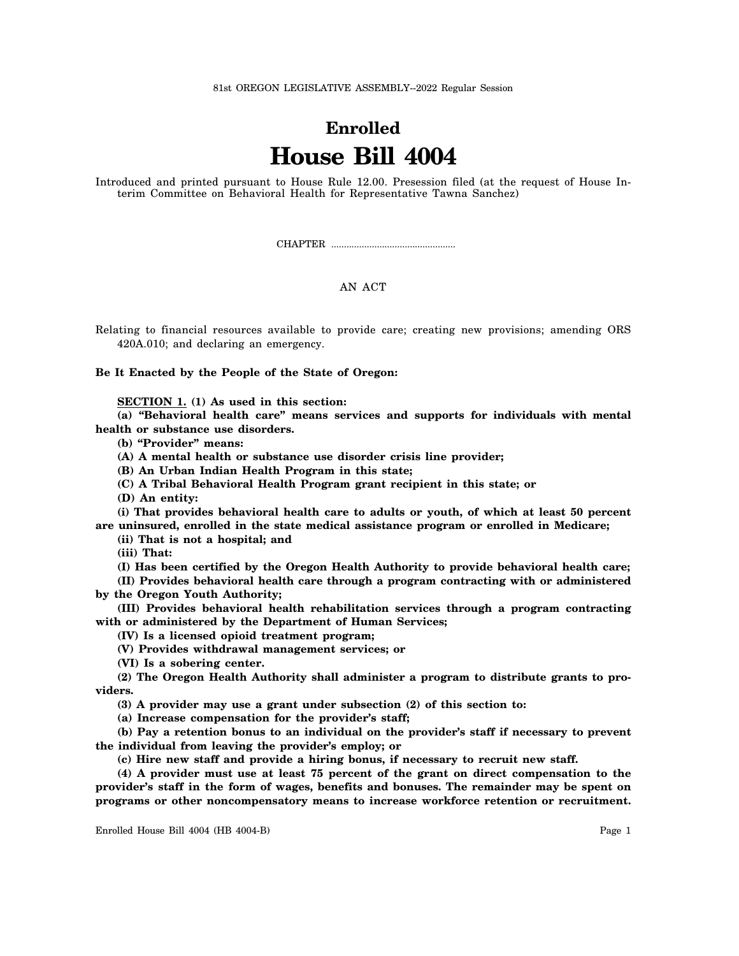81st OREGON LEGISLATIVE ASSEMBLY--2022 Regular Session

## **Enrolled House Bill 4004**

Introduced and printed pursuant to House Rule 12.00. Presession filed (at the request of House Interim Committee on Behavioral Health for Representative Tawna Sanchez)

CHAPTER .................................................

## AN ACT

Relating to financial resources available to provide care; creating new provisions; amending ORS 420A.010; and declaring an emergency.

**Be It Enacted by the People of the State of Oregon:**

**SECTION 1. (1) As used in this section:**

**(a) "Behavioral health care" means services and supports for individuals with mental health or substance use disorders.**

**(b) "Provider" means:**

**(A) A mental health or substance use disorder crisis line provider;**

**(B) An Urban Indian Health Program in this state;**

**(C) A Tribal Behavioral Health Program grant recipient in this state; or**

**(D) An entity:**

**(i) That provides behavioral health care to adults or youth, of which at least 50 percent are uninsured, enrolled in the state medical assistance program or enrolled in Medicare;**

**(ii) That is not a hospital; and**

**(iii) That:**

**(I) Has been certified by the Oregon Health Authority to provide behavioral health care;**

**(II) Provides behavioral health care through a program contracting with or administered by the Oregon Youth Authority;**

**(III) Provides behavioral health rehabilitation services through a program contracting with or administered by the Department of Human Services;**

**(IV) Is a licensed opioid treatment program;**

**(V) Provides withdrawal management services; or**

**(VI) Is a sobering center.**

**(2) The Oregon Health Authority shall administer a program to distribute grants to providers.**

**(3) A provider may use a grant under subsection (2) of this section to:**

**(a) Increase compensation for the provider's staff;**

**(b) Pay a retention bonus to an individual on the provider's staff if necessary to prevent the individual from leaving the provider's employ; or**

**(c) Hire new staff and provide a hiring bonus, if necessary to recruit new staff.**

**(4) A provider must use at least 75 percent of the grant on direct compensation to the provider's staff in the form of wages, benefits and bonuses. The remainder may be spent on programs or other noncompensatory means to increase workforce retention or recruitment.**

Enrolled House Bill 4004 (HB 4004-B) Page 1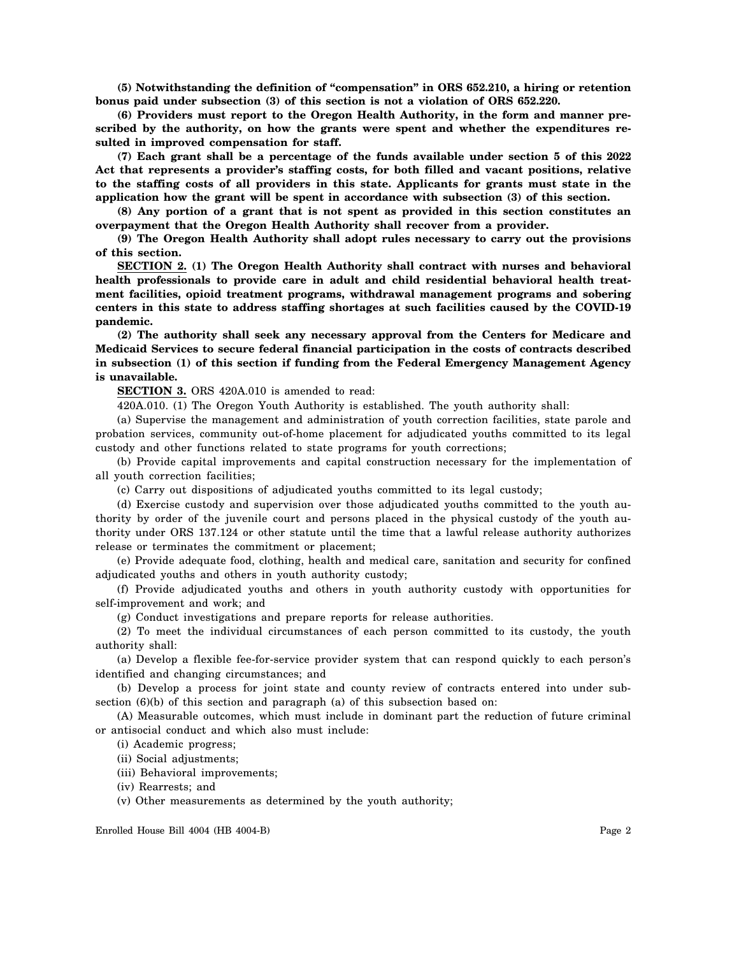**(5) Notwithstanding the definition of "compensation" in ORS 652.210, a hiring or retention bonus paid under subsection (3) of this section is not a violation of ORS 652.220.**

**(6) Providers must report to the Oregon Health Authority, in the form and manner prescribed by the authority, on how the grants were spent and whether the expenditures resulted in improved compensation for staff.**

**(7) Each grant shall be a percentage of the funds available under section 5 of this 2022 Act that represents a provider's staffing costs, for both filled and vacant positions, relative to the staffing costs of all providers in this state. Applicants for grants must state in the application how the grant will be spent in accordance with subsection (3) of this section.**

**(8) Any portion of a grant that is not spent as provided in this section constitutes an overpayment that the Oregon Health Authority shall recover from a provider.**

**(9) The Oregon Health Authority shall adopt rules necessary to carry out the provisions of this section.**

**SECTION 2. (1) The Oregon Health Authority shall contract with nurses and behavioral health professionals to provide care in adult and child residential behavioral health treatment facilities, opioid treatment programs, withdrawal management programs and sobering centers in this state to address staffing shortages at such facilities caused by the COVID-19 pandemic.**

**(2) The authority shall seek any necessary approval from the Centers for Medicare and Medicaid Services to secure federal financial participation in the costs of contracts described in subsection (1) of this section if funding from the Federal Emergency Management Agency is unavailable.**

**SECTION 3.** ORS 420A.010 is amended to read:

420A.010. (1) The Oregon Youth Authority is established. The youth authority shall:

(a) Supervise the management and administration of youth correction facilities, state parole and probation services, community out-of-home placement for adjudicated youths committed to its legal custody and other functions related to state programs for youth corrections;

(b) Provide capital improvements and capital construction necessary for the implementation of all youth correction facilities;

(c) Carry out dispositions of adjudicated youths committed to its legal custody;

(d) Exercise custody and supervision over those adjudicated youths committed to the youth authority by order of the juvenile court and persons placed in the physical custody of the youth authority under ORS 137.124 or other statute until the time that a lawful release authority authorizes release or terminates the commitment or placement;

(e) Provide adequate food, clothing, health and medical care, sanitation and security for confined adjudicated youths and others in youth authority custody;

(f) Provide adjudicated youths and others in youth authority custody with opportunities for self-improvement and work; and

(g) Conduct investigations and prepare reports for release authorities.

(2) To meet the individual circumstances of each person committed to its custody, the youth authority shall:

(a) Develop a flexible fee-for-service provider system that can respond quickly to each person's identified and changing circumstances; and

(b) Develop a process for joint state and county review of contracts entered into under subsection (6)(b) of this section and paragraph (a) of this subsection based on:

(A) Measurable outcomes, which must include in dominant part the reduction of future criminal or antisocial conduct and which also must include:

(i) Academic progress;

- (ii) Social adjustments;
- (iii) Behavioral improvements;

(iv) Rearrests; and

(v) Other measurements as determined by the youth authority;

Enrolled House Bill 4004 (HB 4004-B) Page 2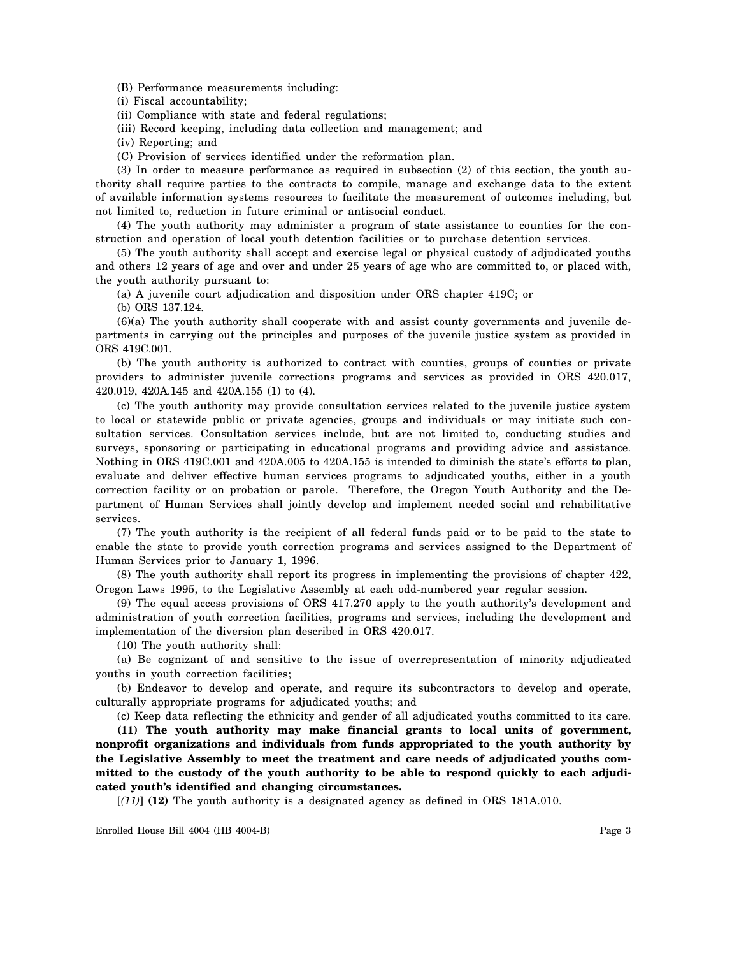(B) Performance measurements including:

(i) Fiscal accountability;

(ii) Compliance with state and federal regulations;

(iii) Record keeping, including data collection and management; and

(iv) Reporting; and

(C) Provision of services identified under the reformation plan.

(3) In order to measure performance as required in subsection (2) of this section, the youth authority shall require parties to the contracts to compile, manage and exchange data to the extent of available information systems resources to facilitate the measurement of outcomes including, but not limited to, reduction in future criminal or antisocial conduct.

(4) The youth authority may administer a program of state assistance to counties for the construction and operation of local youth detention facilities or to purchase detention services.

(5) The youth authority shall accept and exercise legal or physical custody of adjudicated youths and others 12 years of age and over and under 25 years of age who are committed to, or placed with, the youth authority pursuant to:

(a) A juvenile court adjudication and disposition under ORS chapter 419C; or

(b) ORS 137.124.

(6)(a) The youth authority shall cooperate with and assist county governments and juvenile departments in carrying out the principles and purposes of the juvenile justice system as provided in ORS 419C.001.

(b) The youth authority is authorized to contract with counties, groups of counties or private providers to administer juvenile corrections programs and services as provided in ORS 420.017, 420.019, 420A.145 and 420A.155 (1) to (4).

(c) The youth authority may provide consultation services related to the juvenile justice system to local or statewide public or private agencies, groups and individuals or may initiate such consultation services. Consultation services include, but are not limited to, conducting studies and surveys, sponsoring or participating in educational programs and providing advice and assistance. Nothing in ORS 419C.001 and 420A.005 to 420A.155 is intended to diminish the state's efforts to plan, evaluate and deliver effective human services programs to adjudicated youths, either in a youth correction facility or on probation or parole. Therefore, the Oregon Youth Authority and the Department of Human Services shall jointly develop and implement needed social and rehabilitative services.

(7) The youth authority is the recipient of all federal funds paid or to be paid to the state to enable the state to provide youth correction programs and services assigned to the Department of Human Services prior to January 1, 1996.

(8) The youth authority shall report its progress in implementing the provisions of chapter 422, Oregon Laws 1995, to the Legislative Assembly at each odd-numbered year regular session.

(9) The equal access provisions of ORS 417.270 apply to the youth authority's development and administration of youth correction facilities, programs and services, including the development and implementation of the diversion plan described in ORS 420.017.

(10) The youth authority shall:

(a) Be cognizant of and sensitive to the issue of overrepresentation of minority adjudicated youths in youth correction facilities;

(b) Endeavor to develop and operate, and require its subcontractors to develop and operate, culturally appropriate programs for adjudicated youths; and

(c) Keep data reflecting the ethnicity and gender of all adjudicated youths committed to its care.

**(11) The youth authority may make financial grants to local units of government, nonprofit organizations and individuals from funds appropriated to the youth authority by the Legislative Assembly to meet the treatment and care needs of adjudicated youths committed to the custody of the youth authority to be able to respond quickly to each adjudicated youth's identified and changing circumstances.**

[*(11)*] **(12)** The youth authority is a designated agency as defined in ORS 181A.010.

Enrolled House Bill 4004 (HB 4004-B) Page 3